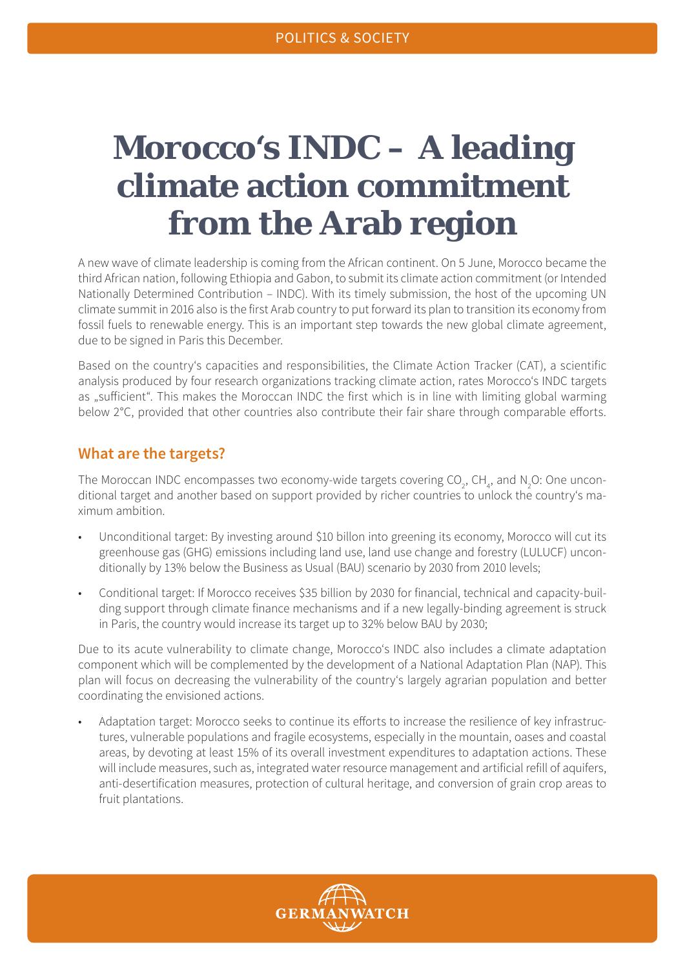# **Morocco's INDC – A leading climate action commitment from the Arab region**

A new wave of climate leadership is coming from the African continent. On 5 June, Morocco became the third African nation, following Ethiopia and Gabon, to submit its climate action commitment (or Intended Nationally Determined Contribution – INDC). With its timely submission, the host of the upcoming UN climate summit in 2016 also is the first Arab country to put forward its plan to transition its economy from fossil fuels to renewable energy. This is an important step towards the new global climate agreement, due to be signed in Paris this December.

Based on the country's capacities and responsibilities, the Climate Action Tracker (CAT), a scientific analysis produced by four research organizations tracking climate action, rates Morocco's INDC targets as "sufficient". This makes the Moroccan INDC the first which is in line with limiting global warming below 2°C, provided that other countries also contribute their fair share through comparable efforts.

## **What are the targets?**

The Moroccan INDC encompasses two economy-wide targets covering CO<sub>2</sub>, CH<sub>4</sub>, and N<sub>2</sub>O: One unconditional target and another based on support provided by richer countries to unlock the country's maximum ambition.

- Unconditional target: By investing around \$10 billon into greening its economy, Morocco will cut its greenhouse gas (GHG) emissions including land use, land use change and forestry (LULUCF) unconditionally by 13% below the Business as Usual (BAU) scenario by 2030 from 2010 levels;
- Conditional target: If Morocco receives \$35 billion by 2030 for financial, technical and capacity-building support through climate finance mechanisms and if a new legally-binding agreement is struck in Paris, the country would increase its target up to 32% below BAU by 2030;

Due to its acute vulnerability to climate change, Morocco's INDC also includes a climate adaptation component which will be complemented by the development of a National Adaptation Plan (NAP). This plan will focus on decreasing the vulnerability of the country's largely agrarian population and better coordinating the envisioned actions.

Adaptation target: Morocco seeks to continue its efforts to increase the resilience of key infrastructures, vulnerable populations and fragile ecosystems, especially in the mountain, oases and coastal areas, by devoting at least 15% of its overall investment expenditures to adaptation actions. These will include measures, such as, integrated water resource management and artificial refill of aquifers, anti-desertification measures, protection of cultural heritage, and conversion of grain crop areas to fruit plantations.

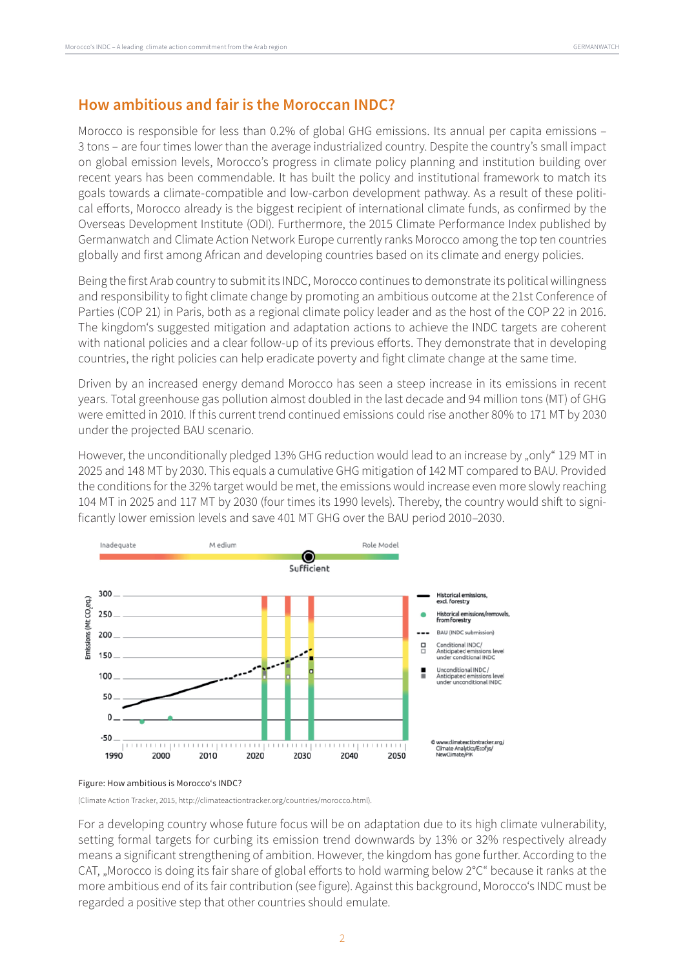#### **How ambitious and fair is the Moroccan INDC?**

Morocco is responsible for less than 0.2% of global GHG emissions. Its annual per capita emissions – 3 tons – are four times lower than the average industrialized country. Despite the country's small impact on global emission levels, Morocco's progress in climate policy planning and institution building over recent years has been commendable. It has built the policy and institutional framework to match its goals towards a climate-compatible and low-carbon development pathway. As a result of these political efforts, Morocco already is the biggest recipient of international climate funds, as confirmed by the Overseas Development Institute (ODI). Furthermore, the 2015 Climate Performance Index published by Germanwatch and Climate Action Network Europe currently ranks Morocco among the top ten countries globally and first among African and developing countries based on its climate and energy policies.

Being the first Arab country to submit its INDC, Morocco continues to demonstrate its political willingness and responsibility to fight climate change by promoting an ambitious outcome at the 21st Conference of Parties (COP 21) in Paris, both as a regional climate policy leader and as the host of the COP 22 in 2016. The kingdom's suggested mitigation and adaptation actions to achieve the INDC targets are coherent with national policies and a clear follow-up of its previous efforts. They demonstrate that in developing countries, the right policies can help eradicate poverty and fight climate change at the same time.

Driven by an increased energy demand Morocco has seen a steep increase in its emissions in recent years. Total greenhouse gas pollution almost doubled in the last decade and 94 million tons (MT) of GHG were emitted in 2010. If this current trend continued emissions could rise another 80% to 171 MT by 2030 under the projected BAU scenario.

However, the unconditionally pledged 13% GHG reduction would lead to an increase by "only" 129 MT in 2025 and 148 MT by 2030. This equals a cumulative GHG mitigation of 142 MT compared to BAU. Provided the conditions for the 32% target would be met, the emissions would increase even more slowly reaching 104 MT in 2025 and 117 MT by 2030 (four times its 1990 levels). Thereby, the country would shift to significantly lower emission levels and save 401 MT GHG over the BAU period 2010–2030.



Figure: How ambitious is Morocco's INDC?

(Climate Action Tracker, 2015, http://climateactiontracker.org/countries/morocco.html).

For a developing country whose future focus will be on adaptation due to its high climate vulnerability, setting formal targets for curbing its emission trend downwards by 13% or 32% respectively already means a significant strengthening of ambition. However, the kingdom has gone further. According to the CAT, "Morocco is doing its fair share of global efforts to hold warming below  $2^{\circ}C^{\circ}$  because it ranks at the more ambitious end of its fair contribution (see figure). Against this background, Morocco's INDC must be regarded a positive step that other countries should emulate.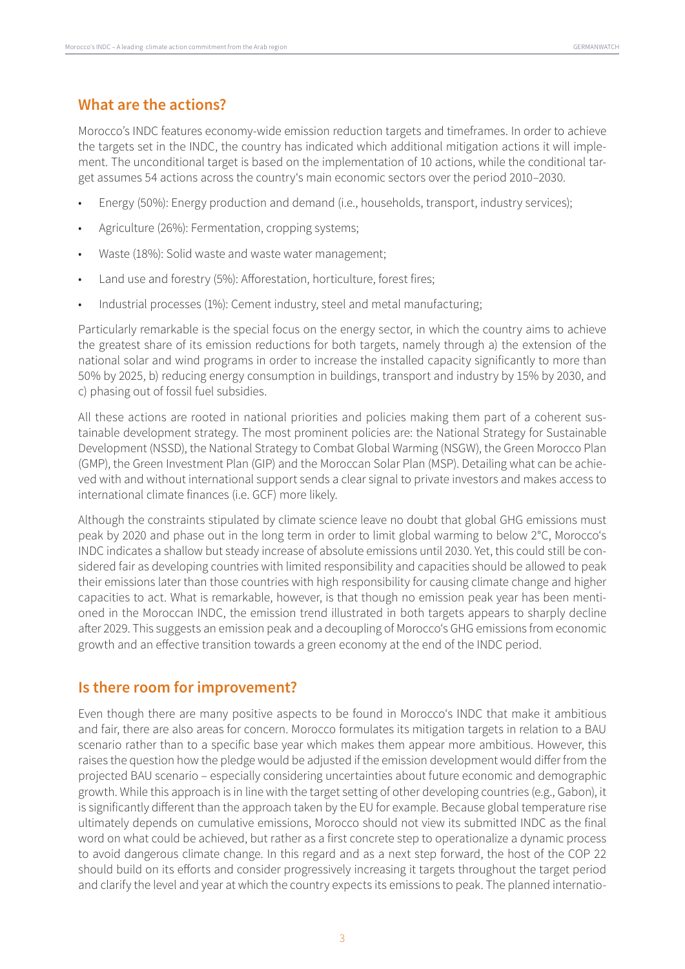### **What are the actions?**

Morocco's INDC features economy-wide emission reduction targets and timeframes. In order to achieve the targets set in the INDC, the country has indicated which additional mitigation actions it will implement. The unconditional target is based on the implementation of 10 actions, while the conditional target assumes 54 actions across the country's main economic sectors over the period 2010–2030.

- Energy (50%): Energy production and demand (i.e., households, transport, industry services);
- Agriculture (26%): Fermentation, cropping systems;
- Waste (18%): Solid waste and waste water management;
- Land use and forestry (5%): Afforestation, horticulture, forest fires;
- Industrial processes (1%): Cement industry, steel and metal manufacturing;

Particularly remarkable is the special focus on the energy sector, in which the country aims to achieve the greatest share of its emission reductions for both targets, namely through a) the extension of the national solar and wind programs in order to increase the installed capacity significantly to more than 50% by 2025, b) reducing energy consumption in buildings, transport and industry by 15% by 2030, and c) phasing out of fossil fuel subsidies.

All these actions are rooted in national priorities and policies making them part of a coherent sustainable development strategy. The most prominent policies are: the National Strategy for Sustainable Development (NSSD), the National Strategy to Combat Global Warming (NSGW), the Green Morocco Plan (GMP), the Green Investment Plan (GIP) and the Moroccan Solar Plan (MSP). Detailing what can be achieved with and without international support sends a clear signal to private investors and makes access to international climate finances (i.e. GCF) more likely.

Although the constraints stipulated by climate science leave no doubt that global GHG emissions must peak by 2020 and phase out in the long term in order to limit global warming to below 2°C, Morocco's INDC indicates a shallow but steady increase of absolute emissions until 2030. Yet, this could still be considered fair as developing countries with limited responsibility and capacities should be allowed to peak their emissions later than those countries with high responsibility for causing climate change and higher capacities to act. What is remarkable, however, is that though no emission peak year has been mentioned in the Moroccan INDC, the emission trend illustrated in both targets appears to sharply decline after 2029. This suggests an emission peak and a decoupling of Morocco's GHG emissions from economic growth and an effective transition towards a green economy at the end of the INDC period.

#### **Is there room for improvement?**

Even though there are many positive aspects to be found in Morocco's INDC that make it ambitious and fair, there are also areas for concern. Morocco formulates its mitigation targets in relation to a BAU scenario rather than to a specific base year which makes them appear more ambitious. However, this raises the question how the pledge would be adjusted if the emission development would differ from the projected BAU scenario – especially considering uncertainties about future economic and demographic growth. While this approach is in line with the target setting of other developing countries (e.g., Gabon), it is significantly different than the approach taken by the EU for example. Because global temperature rise ultimately depends on cumulative emissions, Morocco should not view its submitted INDC as the final word on what could be achieved, but rather as a first concrete step to operationalize a dynamic process to avoid dangerous climate change. In this regard and as a next step forward, the host of the COP 22 should build on its efforts and consider progressively increasing it targets throughout the target period and clarify the level and year at which the country expects its emissions to peak. The planned internatio